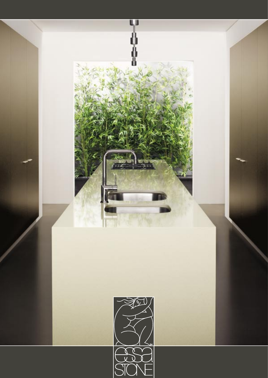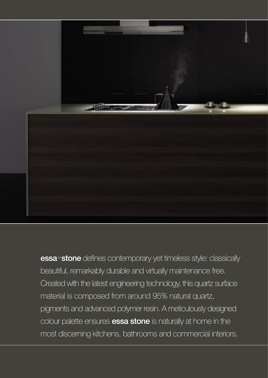

essa<sup>™</sup> stone defines contemporary yet timeless style: classically beautiful, remarkably durable and virtually maintenance free. Created with the latest engineering technology, this quartz surface material is composed from around 95% natural quartz, pigments and advanced polymer resin. A meticulously designed colour palette ensures **essa stone** is naturally at home in the most discerning kitchens, bathrooms and commercial interiors.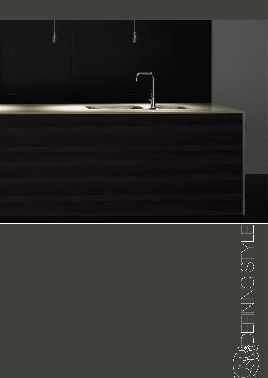

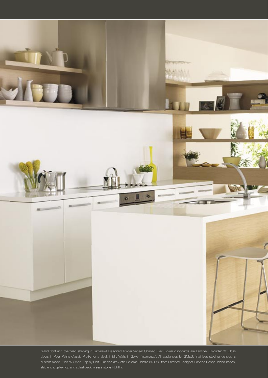

Island front and overhead shelving in Laminex® Designed Timber Veneer Chalked Oak. Lower cupboards are Laminex ColourTech® Gloss doors in Polar White Classic Profile for a sleek finish. Walls in Solver 'Internezzo'. All appliances by SMEG. Stainless steel rangehood is custom made. Sink by Oliveri. Tap by Dorf. Handles are Satin Chrome Handle 869973 from Laminex Designer Handles Range. Island bench, slab ends, galley top and splashback in essa stone PURITY.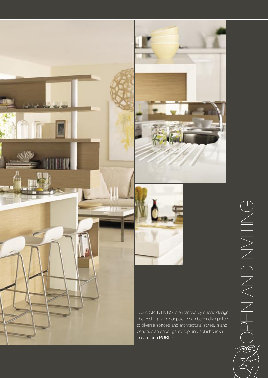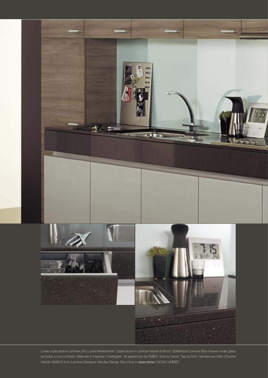

Lower cupboards in Laminex Zinc Lustre Mineral finish. Upper doors in Laminex Hazelnut Wood. Splashback Laminex Blue Heaven under glass provides a cool contrast. Walls are in Haymes 'Castlegate'. All appliances by SMEG. Sink by Oliveri. Tap by Dorf. Handles are Satin Chrome Handle 869976 from Laminex Designer Handles Range. Benchtop in essa stone CACAO UMBER.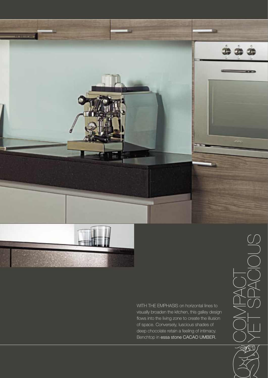

WITH THE EMPHASIS on horizontal lines to visually broaden the kitchen, this galley design flows into the living zone to create the illusion of space. Conversely, luscious shades of deep chocolate retain a feeling of intimacy. Benchtop in essa stone CACAO UMBER.

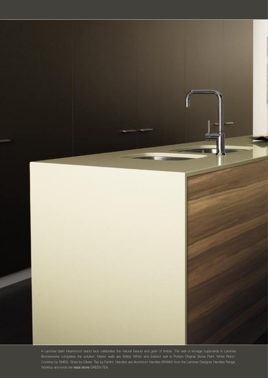

A Laminex Satin Heartwood island face celebrates the natural beauty and grain of timber. The wall of storage cupboards in Laminex Bronzeworks completes the solution. Interior walls are Wattyl 'White' and Exterior wall is Porters Original Stone Paint 'White Rhino'. Cooktop by SMEG. Sinks by Oliveri. Tap by Fantini. Handles are Aluminium Handles 869965 from the Laminex Designer Handles Range. Worktop and ends are essa stone GREEN TEA.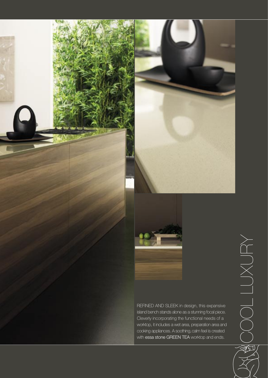





REFINED AND SLEEK in design, this expansive island bench stands alone as a stunning focal piece. Cleverly incorporating the functional needs of a worktop, it includes a wet area, preparation area and cooking appliances. A soothing, calm feel is created with essa stone GREEN TEA worktop and ends.

 $\overleftarrow{\alpha}$  $\bigcup$  $\times$  $\bigcup$ <u>La de la p</u> L $\bigcirc$  $\bigcirc$  $\sum_{i=1}^{n}$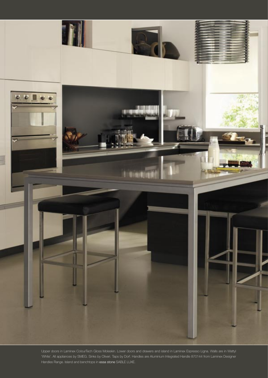

Upper doors in Laminex ColourTech Gloss Moleskin. Lower doors and drawers and island in Laminex Espresso Ligna. Walls are in Wattyl 'White'. All appliances by SMEG. Sinks by Oliveri. Taps by Dorf. Handles are Aluminium Integrated Handle 870144 from Laminex Designer Handles Range. Island and benchtops in essa stone SABLE LUXE.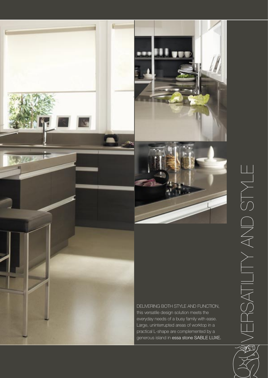

و ا الرب

this versatile design solution meets the everyday needs of a busy family with ease. Large, uninterrupted areas of worktop in a practical L-shape are complemented by a generous island in essa stone SABLE LUXE. ERSATLITY AND STYLE  $\sqrt[3]{2}$ 

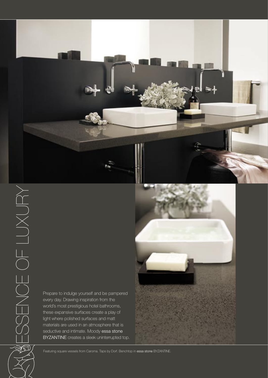

**experience**  $\bigcirc$  $\bigcirc$  $\Box$  $\boldsymbol{\mathcal{Z}}$  $\bigcirc$ **experience**  $\bigcirc$  $\Box$ <u>and</u>  $\bigcup$  $\times$  $\bigcup$ 

Prepare to indulge yourself and be pampered every day. Drawing inspiration from the world's most prestigious hotel bathrooms, these expansive surfaces create a play of light where polished surfaces and matt materials are used in an atmosphere that is seductive and intimate. Moody essa stone BYZANTINE creates a sleek uninterrupted top.



Featuring square vessels from Caroma. Taps by Dorf. Benchtop in essa stone BYZANTINE.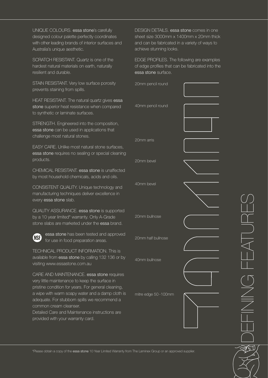UNIQUE COLOURS, essa stone's carefully designed colour palette perfectly coordinates with other leading brands of interior surfaces and Australia's unique aesthetic.

SCRATCH RESISTANT. Quartz is one of the hardest natural materials on earth, naturally resilient and durable.

STAIN RESISTANT. Very low surface porosity prevents staining from spills.

HEAT RESISTANT. The natural quartz gives essa stone superior heat resistance when compared to synthetic or laminate surfaces.

STRENGTH. Engineered into the composition, essa stone can be used in applications that challenge most natural stones.

EASY CARE. Unlike most natural stone surfaces, essa stone requires no sealing or special cleaning products.

CHEMICAL RESISTANT. essa stone is unaffected by most household chemicals, acids and oils.

CONSISTENT QUALITY. Unique technology and manufacturing techniques deliver excellence in every essa stone slab.

QUALITY ASSURANCE. essa stone is supported by a 10 year limited\* warranty. Only A-Grade stone slabs are marketed under the essa brand.



essa stone has been tested and approved for use in food preparation areas.

TECHNICAL PRODUCT INFORMATION. This is available from essa stone by calling 132 136 or by visiting www.essastone.com.au

CARE AND MAINTENANCE. essa stone requires very little maintenance to keep the surface in pristine condition for years. For general cleaning, a wipe with warm soapy water and a damp cloth is adequate. For stubborn spills we recommend a common cream cleanser. Detailed Care and Maintenance instructions are

provided with your warranty card.

DESIGN DETAILS, essa stone comes in one sheet size 3000mm x 1400mm x 20mm thick and can be fabricated in a variety of ways to achieve stunning looks.

EDGE PROFILES. The following are examples of edge profiles that can be fabricated into the essa stone surface.

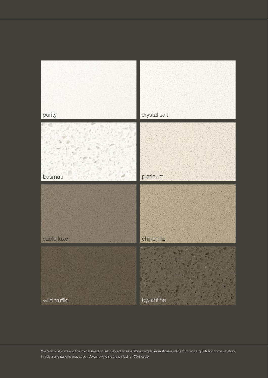

We recommend making final colour selection using an actual essa stone sample. essa stone is made from natural quartz and some variations in colour and patterns may occur. Colour swatches are printed to 100% scale.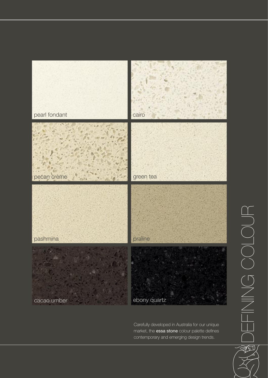

Carefully developed in Australia for our unique market, the essa stone colour palette defines contemporary and emerging design trends.